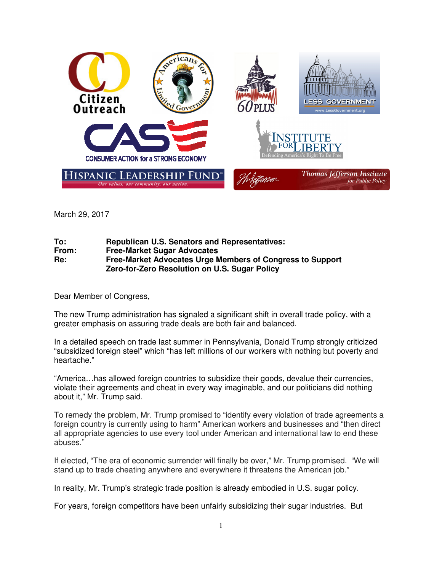

March 29, 2017

## **To: Republican U.S. Senators and Representatives: Free-Market Sugar Advocates Re: Free-Market Advocates Urge Members of Congress to Support Zero-for-Zero Resolution on U.S. Sugar Policy**

Dear Member of Congress,

The new Trump administration has signaled a significant shift in overall trade policy, with a greater emphasis on assuring trade deals are both fair and balanced.

In a detailed speech on trade last summer in Pennsylvania, Donald Trump strongly criticized "subsidized foreign steel" which "has left millions of our workers with nothing but poverty and heartache."

"America…has allowed foreign countries to subsidize their goods, devalue their currencies, violate their agreements and cheat in every way imaginable, and our politicians did nothing about it," Mr. Trump said.

To remedy the problem, Mr. Trump promised to "identify every violation of trade agreements a foreign country is currently using to harm" American workers and businesses and "then direct all appropriate agencies to use every tool under American and international law to end these abuses."

If elected, "The era of economic surrender will finally be over," Mr. Trump promised. "We will stand up to trade cheating anywhere and everywhere it threatens the American job."

In reality, Mr. Trump's strategic trade position is already embodied in U.S. sugar policy.

For years, foreign competitors have been unfairly subsidizing their sugar industries. But